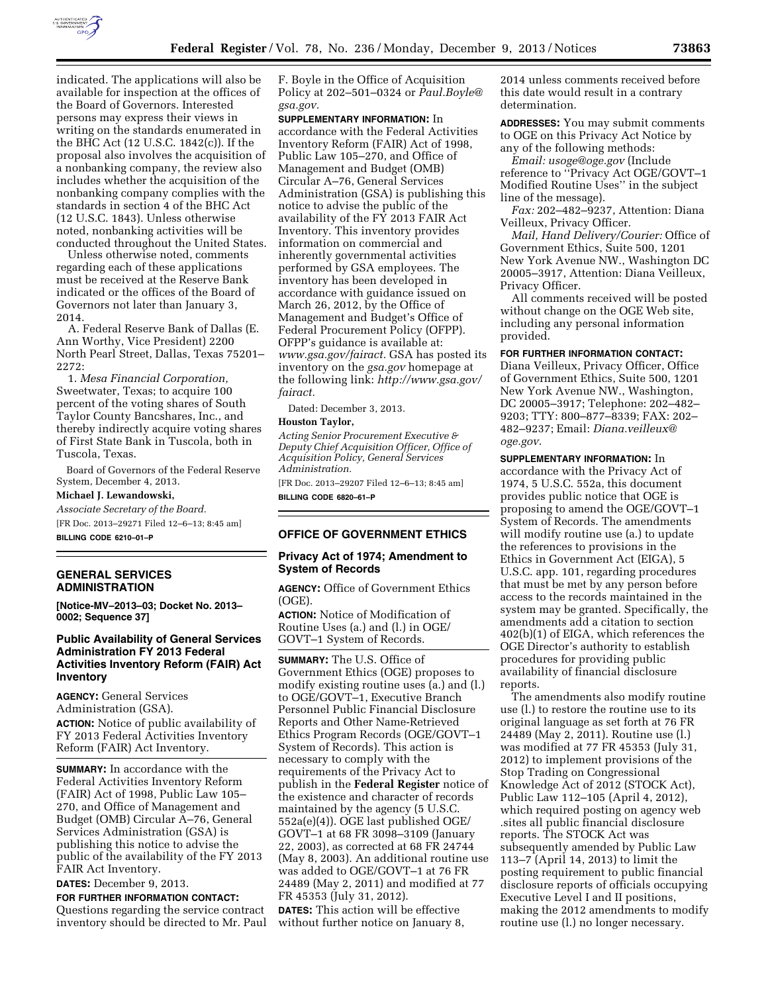

indicated. The applications will also be available for inspection at the offices of the Board of Governors. Interested persons may express their views in writing on the standards enumerated in the BHC Act (12 U.S.C. 1842(c)). If the proposal also involves the acquisition of a nonbanking company, the review also includes whether the acquisition of the nonbanking company complies with the standards in section 4 of the BHC Act (12 U.S.C. 1843). Unless otherwise noted, nonbanking activities will be conducted throughout the United States.

Unless otherwise noted, comments regarding each of these applications must be received at the Reserve Bank indicated or the offices of the Board of Governors not later than January 3, 2014.

A. Federal Reserve Bank of Dallas (E. Ann Worthy, Vice President) 2200 North Pearl Street, Dallas, Texas 75201– 2272:

1. *Mesa Financial Corporation,*  Sweetwater, Texas; to acquire 100 percent of the voting shares of South Taylor County Bancshares, Inc., and thereby indirectly acquire voting shares of First State Bank in Tuscola, both in Tuscola, Texas.

Board of Governors of the Federal Reserve System, December 4, 2013.

**Michael J. Lewandowski,** 

*Associate Secretary of the Board.*  [FR Doc. 2013–29271 Filed 12–6–13; 8:45 am] **BILLING CODE 6210–01–P** 

**GENERAL SERVICES ADMINISTRATION** 

**[Notice-MV–2013–03; Docket No. 2013– 0002; Sequence 37]** 

# **Public Availability of General Services Administration FY 2013 Federal Activities Inventory Reform (FAIR) Act Inventory**

**AGENCY:** General Services Administration (GSA).

**ACTION:** Notice of public availability of FY 2013 Federal Activities Inventory Reform (FAIR) Act Inventory.

**SUMMARY:** In accordance with the Federal Activities Inventory Reform (FAIR) Act of 1998, Public Law 105– 270, and Office of Management and Budget (OMB) Circular A–76, General Services Administration (GSA) is publishing this notice to advise the public of the availability of the FY 2013 FAIR Act Inventory.

**DATES:** December 9, 2013.

**FOR FURTHER INFORMATION CONTACT:**  Questions regarding the service contract inventory should be directed to Mr. Paul F. Boyle in the Office of Acquisition Policy at 202–501–0324 or *[Paul.Boyle@](mailto:Paul.Boyle@gsa.gov) [gsa.gov.](mailto:Paul.Boyle@gsa.gov)* 

**SUPPLEMENTARY INFORMATION:** In accordance with the Federal Activities Inventory Reform (FAIR) Act of 1998, Public Law 105–270, and Office of Management and Budget (OMB) Circular A–76, General Services Administration (GSA) is publishing this notice to advise the public of the availability of the FY 2013 FAIR Act Inventory. This inventory provides information on commercial and inherently governmental activities performed by GSA employees. The inventory has been developed in accordance with guidance issued on March 26, 2012, by the Office of Management and Budget's Office of Federal Procurement Policy (OFPP). OFPP's guidance is available at: *[www.gsa.gov/fairact.](http://www.gsa.gov/fairact)* GSA has posted its inventory on the *gsa.gov* homepage at the following link: *[http://www.gsa.gov/](http://www.gsa.gov/fairact) [fairact.](http://www.gsa.gov/fairact)* 

Dated: December 3, 2013.

#### **Houston Taylor,**

*Acting Senior Procurement Executive & Deputy Chief Acquisition Officer, Office of Acquisition Policy, General Services Administration.* 

[FR Doc. 2013–29207 Filed 12–6–13; 8:45 am] **BILLING CODE 6820–61–P** 

#### **OFFICE OF GOVERNMENT ETHICS**

# **Privacy Act of 1974; Amendment to System of Records**

**AGENCY:** Office of Government Ethics  $(OGE)$ 

**ACTION:** Notice of Modification of Routine Uses (a.) and (l.) in OGE/ GOVT–1 System of Records.

**SUMMARY:** The U.S. Office of Government Ethics (OGE) proposes to modify existing routine uses (a.) and (l.) to OGE/GOVT–1, Executive Branch Personnel Public Financial Disclosure Reports and Other Name-Retrieved Ethics Program Records (OGE/GOVT–1 System of Records). This action is necessary to comply with the requirements of the Privacy Act to publish in the **Federal Register** notice of the existence and character of records maintained by the agency (5 U.S.C. 552a(e)(4)). OGE last published OGE/ GOVT–1 at 68 FR 3098–3109 (January 22, 2003), as corrected at 68 FR 24744 (May 8, 2003). An additional routine use was added to OGE/GOVT–1 at 76 FR 24489 (May 2, 2011) and modified at 77 FR 45353 (July 31, 2012).

**DATES:** This action will be effective without further notice on January 8, 2014 unless comments received before this date would result in a contrary determination.

**ADDRESSES:** You may submit comments to OGE on this Privacy Act Notice by any of the following methods:

*Email: [usoge@oge.gov](mailto:usoge@oge.gov)* (Include reference to ''Privacy Act OGE/GOVT–1 Modified Routine Uses'' in the subject line of the message).

*Fax:* 202–482–9237, Attention: Diana Veilleux, Privacy Officer.

*Mail, Hand Delivery/Courier:* Office of Government Ethics, Suite 500, 1201 New York Avenue NW., Washington DC 20005–3917, Attention: Diana Veilleux, Privacy Officer.

All comments received will be posted without change on the OGE Web site, including any personal information provided.

**FOR FURTHER INFORMATION CONTACT:** 

Diana Veilleux, Privacy Officer, Office of Government Ethics, Suite 500, 1201 New York Avenue NW., Washington, DC 20005–3917; Telephone: 202–482– 9203; TTY: 800–877–8339; FAX: 202– 482–9237; Email: *[Diana.veilleux@](mailto:Diana.veilleux@oge.gov) [oge.gov](mailto:Diana.veilleux@oge.gov)*.

**SUPPLEMENTARY INFORMATION:** In accordance with the Privacy Act of 1974, 5 U.S.C. 552a, this document provides public notice that OGE is proposing to amend the OGE/GOVT–1 System of Records. The amendments will modify routine use (a.) to update the references to provisions in the Ethics in Government Act (EIGA), 5 U.S.C. app. 101, regarding procedures that must be met by any person before access to the records maintained in the system may be granted. Specifically, the amendments add a citation to section 402(b)(1) of EIGA, which references the OGE Director's authority to establish procedures for providing public availability of financial disclosure reports.

The amendments also modify routine use (l.) to restore the routine use to its original language as set forth at 76 FR 24489 (May 2, 2011). Routine use (l.) was modified at 77 FR 45353 (July 31, 2012) to implement provisions of the Stop Trading on Congressional Knowledge Act of 2012 (STOCK Act), Public Law 112–105 (April 4, 2012), which required posting on agency web .sites all public financial disclosure reports. The STOCK Act was subsequently amended by Public Law 113–7 (April 14, 2013) to limit the posting requirement to public financial disclosure reports of officials occupying Executive Level I and II positions, making the 2012 amendments to modify routine use (l.) no longer necessary.